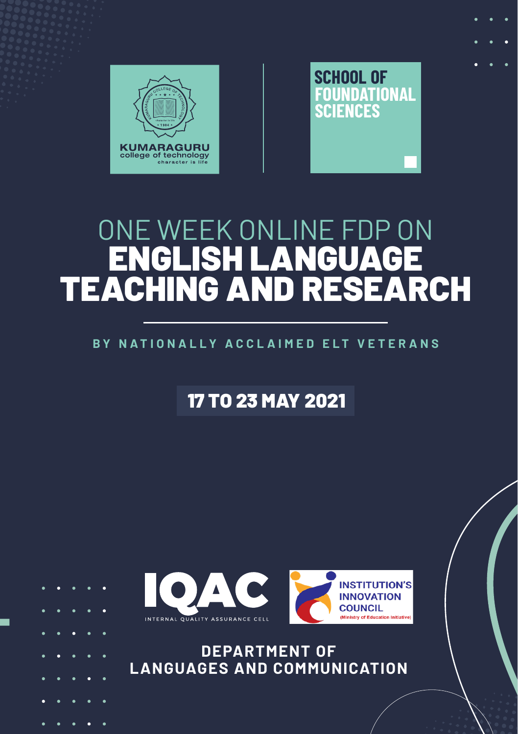

# ONE WEEK ONLINE FDP ON ENGLISH LANGUAGE TEACHING AND RESEARCH

#### **BY NATIONALLY ACCL AIMED ELT VETER ANS**

17 TO 23 MAY 2021



**DEPARTMENT OF LANGUAGES AND COMMUNICATION**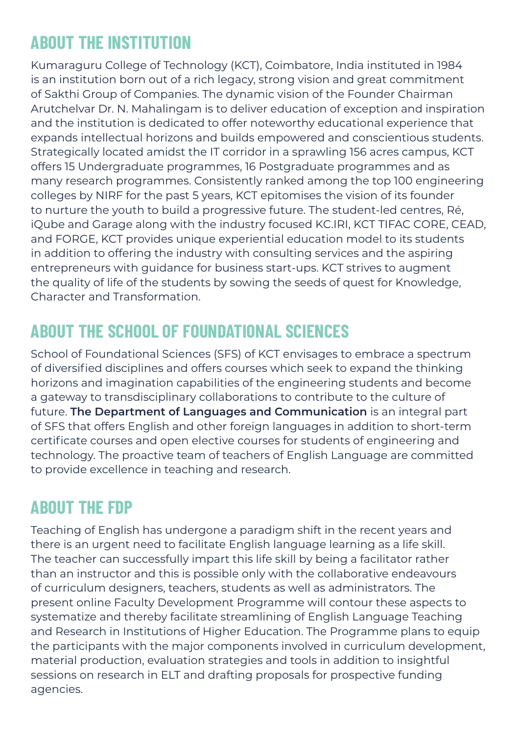## **ABOUT THE INSTITUTION**

Kumaraguru College of Technology (KCT), Coimbatore, India instituted in 1984 is an institution born out of a rich legacy, strong vision and great commitment of Sakthi Group of Companies. The dynamic vision of the Founder Chairman Arutchelvar Dr. N. Mahalingam is to deliver education of exception and inspiration and the institution is dedicated to offer noteworthy educational experience that expands intellectual horizons and builds empowered and conscientious students. Strategically located amidst the IT corridor in a sprawling 156 acres campus, KCT offers 15 Undergraduate programmes, 16 Postgraduate programmes and as many research programmes. Consistently ranked among the top 100 engineering colleges by NIRF for the past 5 years, KCT epitomises the vision of its founder to nurture the youth to build a progressive future. The student-led centres, Ré, iQube and Garage along with the industry focused KC.IRI, KCT TIFAC CORE, CEAD, and FORGE, KCT provides unique experiential education model to its students in addition to offering the industry with consulting services and the aspiring entrepreneurs with guidance for business start-ups. KCT strives to augment the quality of life of the students by sowing the seeds of quest for Knowledge, Character and Transformation.

### **ABOUT THE SCHOOL OF FOUNDATIONAL SCIENCES**

School of Foundational Sciences (SFS) of KCT envisages to embrace a spectrum of diversified disciplines and offers courses which seek to expand the thinking horizons and imagination capabilities of the engineering students and become a gateway to transdisciplinary collaborations to contribute to the culture of future. **The Department of Languages and Communication** is an integral part of SFS that offers English and other foreign languages in addition to short-term certificate courses and open elective courses for students of engineering and technology. The proactive team of teachers of English Language are committed to provide excellence in teaching and research.

#### **ABOUT THE FDP**

Teaching of English has undergone a paradigm shift in the recent years and there is an urgent need to facilitate English language learning as a life skill. The teacher can successfully impart this life skill by being a facilitator rather than an instructor and this is possible only with the collaborative endeavours of curriculum designers, teachers, students as well as administrators. The present online Faculty Development Programme will contour these aspects to systematize and thereby facilitate streamlining of English Language Teaching and Research in Institutions of Higher Education. The Programme plans to equip the participants with the major components involved in curriculum development, material production, evaluation strategies and tools in addition to insightful sessions on research in ELT and drafting proposals for prospective funding agencies.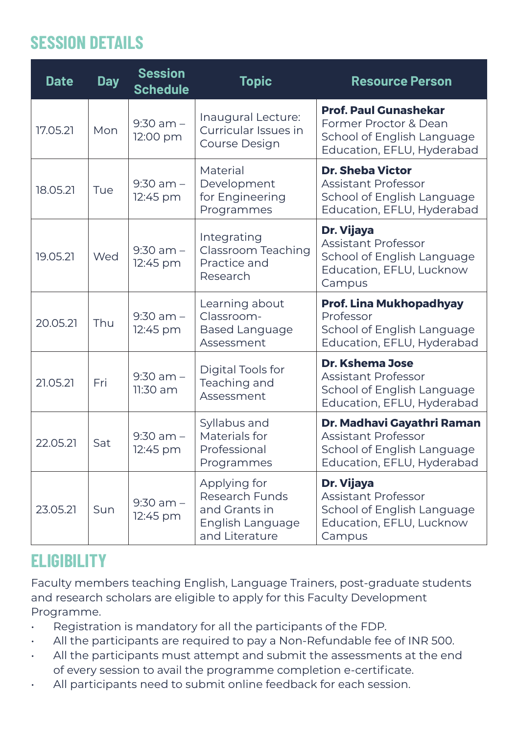### **SESSION DETAILS**

| <b>Date</b> | <b>Day</b> | <b>Session</b><br><b>Schedule</b> | <b>Topic</b>                                                                          | <b>Resource Person</b>                                                                                            |
|-------------|------------|-----------------------------------|---------------------------------------------------------------------------------------|-------------------------------------------------------------------------------------------------------------------|
| 17.05.21    | Mon        | $9:30$ am $-$<br>12:00 pm         | Inaugural Lecture:<br>Curricular Issues in<br>Course Design                           | <b>Prof. Paul Gunashekar</b><br>Former Proctor & Dean<br>School of English Language<br>Education, EFLU, Hyderabad |
| 18.05.21    | Tue        | $9:30$ am $-$<br>12:45 pm         | Material<br>Development<br>for Engineering<br>Programmes                              | <b>Dr. Sheba Victor</b><br>Assistant Professor<br>School of English Language<br>Education, EFLU, Hyderabad        |
| 19.05.21    | Wed        | $9:30$ am $-$<br>12:45 pm         | Integrating<br>Classroom Teaching<br>Practice and<br>Research                         | Dr. Vijaya<br>Assistant Professor<br>School of English Language<br>Education, EFLU, Lucknow<br>Campus             |
| 20.05.21    | Thu        | $9:30$ am $-$<br>12:45 pm         | Learning about<br>Classroom-<br><b>Based Language</b><br>Assessment                   | Prof. Lina Mukhopadhyay<br>Professor<br>School of English Language<br>Education, EFLU, Hyderabad                  |
| 21.05.21    | Fri        | $9:30$ am $-$<br>11:30 am         | Digital Tools for<br>Teaching and<br>Assessment                                       | Dr. Kshema Jose<br>Assistant Professor<br>School of English Language<br>Education, EFLU, Hyderabad                |
| 22.05.21    | Sat        | $9:30$ am $-$<br>12:45 pm         | Syllabus and<br>Materials for<br>Professional<br>Programmes                           | Dr. Madhavi Gayathri Raman<br>Assistant Professor<br>School of English Language<br>Education, EFLU, Hyderabad     |
| 23.05.21    | Sun        | $9:30$ am $-$<br>12:45 pm         | Applying for<br>Research Funds<br>and Grants in<br>English Language<br>and Literature | Dr. Vijaya<br><b>Assistant Professor</b><br>School of English Language<br>Education, EFLU, Lucknow<br>Campus      |

### **ELIGIBILITY**

Faculty members teaching English, Language Trainers, post-graduate students and research scholars are eligible to apply for this Faculty Development Programme.

- Registration is mandatory for all the participants of the FDP.
- All the participants are required to pay a Non-Refundable fee of INR 500.
- All the participants must attempt and submit the assessments at the end of every session to avail the programme completion e-certificate.
- All participants need to submit online feedback for each session.